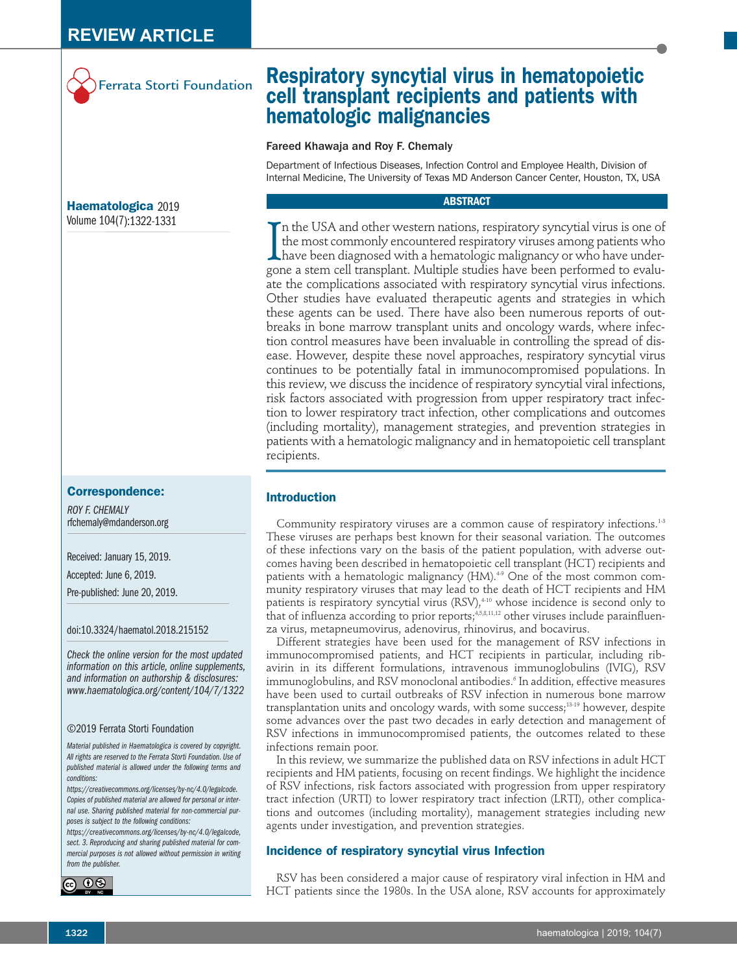

# **Haematologica** 2019 Volume 104(7):1322-1331

# **Correspondence:**

*ROY F. CHEMALY* rfchemaly@mdanderson.org

Received: January 15, 2019.

Accepted: June 6, 2019.

Pre-published: June 20, 2019.

doi:10.3324/haematol.2018.215152

*Check the online version for the most updated information on this article, online supplements, and information on authorship & disclosures: www.haematologica.org/content/104/7/1322*

#### ©2019 Ferrata Storti Foundation

*Material published in Haematologica is covered by copyright. All rights are reserved to the Ferrata Storti Foundation. Use of published material is allowed under the following terms and conditions:* 

*https://creativecommons.org/licenses/by-nc/4.0/legalcode. Copies of published material are allowed for personal or internal use. Sharing published material for non-commercial purposes is subject to the following conditions:* 

*https://creativecommons.org/licenses/by-nc/4.0/legalcode, sect. 3. Reproducing and sharing published material for commercial purposes is not allowed without permission in writing from the publisher.*



# **Respiratory syncytial virus in hematopoietic cell transplant recipients and patients with hematologic malignancies**

## Fareed Khawaja and Roy F. Chemaly

Department of Infectious Diseases, Infection Control and Employee Health, Division of Internal Medicine, The University of Texas MD Anderson Cancer Center, Houston, TX, USA

#### **ABSTRACT**

I<sub>sor</sub> n the USA and other western nations, respiratory syncytial virus is one of the most commonly encountered respiratory viruses among patients who have been diagnosed with a hematologic malignancy or who have undergone a stem cell transplant. Multiple studies have been performed to evaluate the complications associated with respiratory syncytial virus infections. Other studies have evaluated therapeutic agents and strategies in which these agents can be used. There have also been numerous reports of outbreaks in bone marrow transplant units and oncology wards, where infection control measures have been invaluable in controlling the spread of disease. However, despite these novel approaches, respiratory syncytial virus continues to be potentially fatal in immunocompromised populations. In this review, we discuss the incidence of respiratory syncytial viral infections, risk factors associated with progression from upper respiratory tract infection to lower respiratory tract infection, other complications and outcomes (including mortality), management strategies, and prevention strategies in patients with a hematologic malignancy and in hematopoietic cell transplant recipients.

# **Introduction**

Community respiratory viruses are a common cause of respiratory infections.<sup>1-3</sup> These viruses are perhaps best known for their seasonal variation. The outcomes of these infections vary on the basis of the patient population, with adverse outcomes having been described in hematopoietic cell transplant (HCT) recipients and patients with a hematologic malignancy (HM).<sup>49</sup> One of the most common community respiratory viruses that may lead to the death of HCT recipients and HM patients is respiratory syncytial virus (RSV),<sup>410</sup> whose incidence is second only to that of influenza according to prior reports; $45,8,11,12}$  other viruses include parainfluenza virus, metapneumovirus, adenovirus, rhinovirus, and bocavirus.

Different strategies have been used for the management of RSV infections in immunocompromised patients, and HCT recipients in particular, including ribavirin in its different formulations, intravenous immunoglobulins (IVIG), RSV immunoglobulins, and RSV monoclonal antibodies.<sup>6</sup> In addition, effective measures have been used to curtail outbreaks of RSV infection in numerous bone marrow transplantation units and oncology wards, with some success;13-19 however, despite some advances over the past two decades in early detection and management of RSV infections in immunocompromised patients, the outcomes related to these infections remain poor.

In this review, we summarize the published data on RSV infections in adult HCT recipients and HM patients, focusing on recent findings. We highlight the incidence of RSV infections, risk factors associated with progression from upper respiratory tract infection (URTI) to lower respiratory tract infection (LRTI), other complications and outcomes (including mortality), management strategies including new agents under investigation, and prevention strategies.

# **Incidence of respiratory syncytial virus Infection**

RSV has been considered a major cause of respiratory viral infection in HM and HCT patients since the 1980s. In the USA alone, RSV accounts for approximately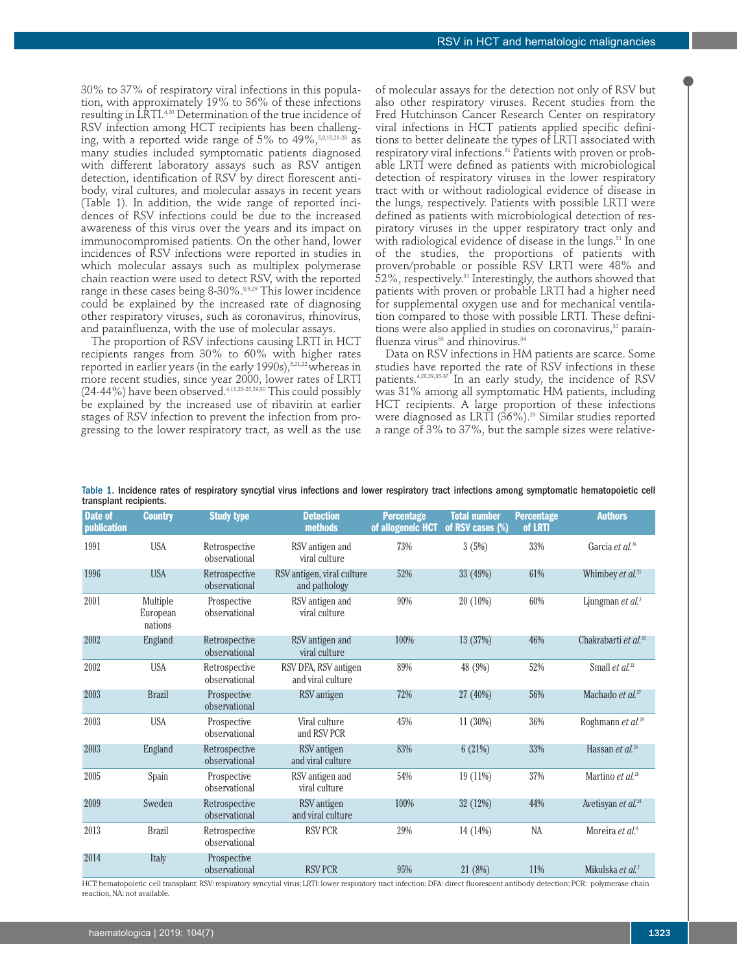30% to 37% of respiratory viral infections in this population, with approximately 19% to 36% of these infections resulting in LRTI.4,20 Determination of the true incidence of RSV infection among HCT recipients has been challenging, with a reported wide range of 5% to  $49\%,^{5,8,18,21-28}$  as many studies included symptomatic patients diagnosed with different laboratory assays such as RSV antigen detection, identification of RSV by direct florescent antibody, viral cultures, and molecular assays in recent years (Table 1). In addition, the wide range of reported incidences of RSV infections could be due to the increased awareness of this virus over the years and its impact on immunocompromised patients. On the other hand, lower incidences of RSV infections were reported in studies in which molecular assays such as multiplex polymerase chain reaction were used to detect RSV, with the reported range in these cases being 8-30%.<sup>8,9,29</sup> This lower incidence could be explained by the increased rate of diagnosing other respiratory viruses, such as coronavirus, rhinovirus, and parainfluenza, with the use of molecular assays.

The proportion of RSV infections causing LRTI in HCT recipients ranges from 30% to 60% with higher rates reported in earlier years (in the early 1990s),<sup>5,21,22</sup> whereas in more recent studies, since year 2000, lower rates of LRTI  $(24-44%)$  have been observed.<sup>4,11,23-25,29,30</sup> This could possibly be explained by the increased use of ribavirin at earlier stages of RSV infection to prevent the infection from progressing to the lower respiratory tract, as well as the use

of molecular assays for the detection not only of RSV but also other respiratory viruses. Recent studies from the Fred Hutchinson Cancer Research Center on respiratory viral infections in HCT patients applied specific definitions to better delineate the types of LRTI associated with respiratory viral infections.<sup>31</sup> Patients with proven or probable LRTI were defined as patients with microbiological detection of respiratory viruses in the lower respiratory tract with or without radiological evidence of disease in the lungs, respectively. Patients with possible LRTI were defined as patients with microbiological detection of respiratory viruses in the upper respiratory tract only and with radiological evidence of disease in the lungs.<sup>31</sup> In one of the studies, the proportions of patients with proven/probable or possible RSV LRTI were 48% and 52%, respectively.<sup>31</sup> Interestingly, the authors showed that patients with proven or probable LRTI had a higher need for supplemental oxygen use and for mechanical ventilation compared to those with possible LRTI. These definitions were also applied in studies on coronavirus, $32$  parainfluenza virus $33$  and rhinovirus.<sup>34</sup>

Data on RSV infections in HM patients are scarce. Some studies have reported the rate of RSV infections in these patients.4,28,29,35-37 In an early study, the incidence of RSV was 31% among all symptomatic HM patients, including HCT recipients. A large proportion of these infections were diagnosed as LRTI  $(36\%)$ .<sup>29</sup> Similar studies reported a range of 3% to 37%, but the sample sizes were relative-

| <b>Date of</b><br>publication | <b>Country</b>                  | <b>Study type</b>              | <b>Detection</b><br>methods                 | <b>Percentage</b><br>of allogeneic HCT | <b>Total number</b><br>of RSV cases (%) | <b>Percentage</b><br>of LRTI | <b>Authors</b>                    |  |
|-------------------------------|---------------------------------|--------------------------------|---------------------------------------------|----------------------------------------|-----------------------------------------|------------------------------|-----------------------------------|--|
| 1991                          | <b>USA</b>                      | Retrospective<br>observational | RSV antigen and<br>viral culture            | 73%                                    | 3(5%)                                   | 33%                          | Garcia et al. <sup>18</sup>       |  |
| 1996                          | <b>USA</b>                      | Retrospective<br>observational | RSV antigen, viral culture<br>and pathology | 52%                                    | 33 (49%)                                | 61%                          | Whimbey et al. <sup>21</sup>      |  |
| 2001                          | Multiple<br>European<br>nations | Prospective<br>observational   | RSV antigen and<br>viral culture            | $90\%$                                 | 20 (10%)                                | 60%                          | Ljungman et al. <sup>5</sup>      |  |
| 2002                          | England                         | Retrospective<br>observational | RSV antigen and<br>viral culture            | 100%                                   | 13 (37%)                                | 46%                          | Chakrabarti et al. <sup>23</sup>  |  |
| 2002                          | <b>USA</b>                      | Retrospective<br>observational | RSV DFA, RSV antigen<br>and viral culture   | 89%                                    | 48 (9%)                                 | 52%                          | Small <i>et al.</i> <sup>22</sup> |  |
| 2003                          | <b>Brazil</b>                   | Prospective<br>observational   | RSV antigen                                 | 72%                                    | 27 (40%)                                | 56%                          | Machado et al. <sup>27</sup>      |  |
| 2003                          | <b>USA</b>                      | Prospective<br>observational   | Viral culture<br>and RSV PCR                | 45%                                    | 11(30%)                                 | 36%                          | Roghmann et al. <sup>29</sup>     |  |
| 2003                          | England                         | Retrospective<br>observational | RSV antigen<br>and viral culture            | 83%                                    | 6(21%)                                  | 33%                          | Hassan et al. <sup>26</sup>       |  |
| 2005                          | Spain                           | Prospective<br>observational   | RSV antigen and<br>viral culture            | 54%                                    | 19 (11%)                                | 37%                          | Martino et al. <sup>28</sup>      |  |
| 2009                          | Sweden                          | Retrospective<br>observational | RSV antigen<br>and viral culture            | 100%                                   | 32 (12%)                                | 44%                          | Avetisyan et al. <sup>24</sup>    |  |
| 2013                          | <b>Brazil</b>                   | Retrospective<br>observational | <b>RSV PCR</b>                              | 29%                                    | 14 (14%)                                | NA                           | Moreira et al. <sup>8</sup>       |  |
| 2014                          | Italy                           | Prospective<br>observational   | <b>RSV PCR</b>                              | 95%                                    | 21 (8%)                                 | 11%                          | Mikulska et al. <sup>7</sup>      |  |

Table 1. Incidence rates of respiratory syncytial virus infections and lower respiratory tract infections among symptomatic hematopoietic cell transplant recipients.

HCT: hematopoietic cell transplant; RSV: respiratory syncytial virus; LRTI: lower respiratory tract infection; DFA: direct fluorescent antibody detection; PCR: polymerase chain reaction, NA: not available.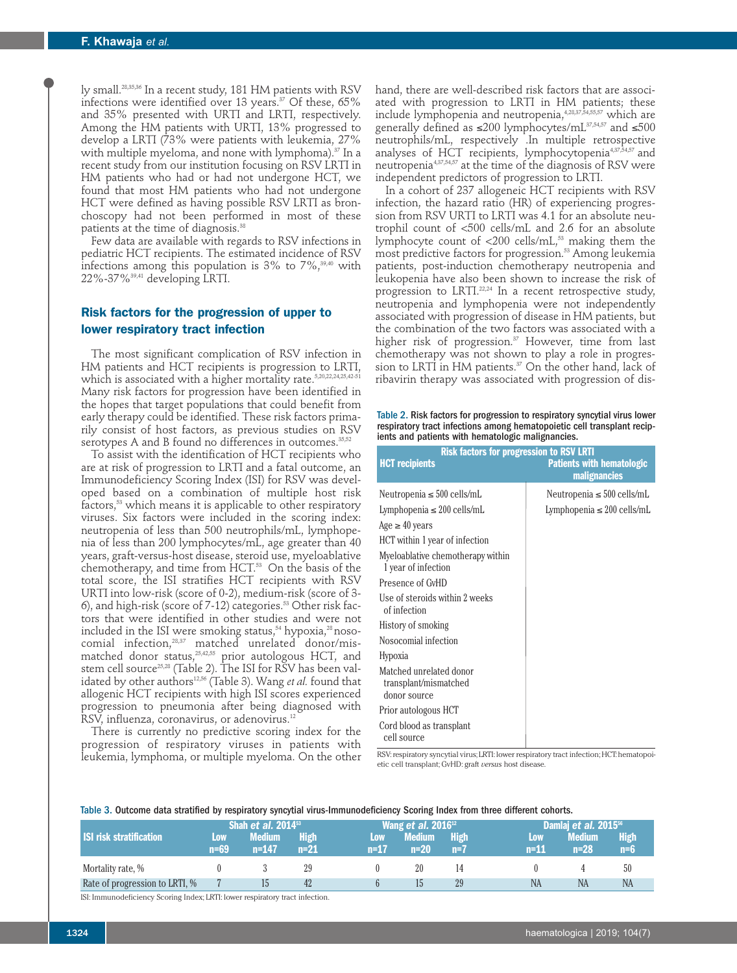ly small.28,35,36 In a recent study, 181 HM patients with RSV infections were identified over 13 years.<sup>37</sup> Of these,  $65\%$ and 35% presented with URTI and LRTI, respectively. Among the HM patients with URTI, 13% progressed to develop a LRTI (73% were patients with leukemia, 27% with multiple myeloma, and none with lymphoma).<sup>37</sup> In a recent study from our institution focusing on RSV LRTI in HM patients who had or had not undergone HCT, we found that most HM patients who had not undergone HCT were defined as having possible RSV LRTI as bronchoscopy had not been performed in most of these patients at the time of diagnosis.<sup>38</sup>

Few data are available with regards to RSV infections in pediatric HCT recipients. The estimated incidence of RSV infections among this population is  $3\%$  to  $7\%$ ,<sup>39,40</sup> with 22%-37%39,41 developing LRTI.

# **Risk factors for the progression of upper to lower respiratory tract infection**

The most significant complication of RSV infection in HM patients and HCT recipients is progression to LRTI, which is associated with a higher mortality rate.<sup>5,20,22,24,25,42-51</sup> Many risk factors for progression have been identified in the hopes that target populations that could benefit from early therapy could be identified. These risk factors primarily consist of host factors, as previous studies on RSV serotypes A and B found no differences in outcomes.<sup>35,51</sup>

To assist with the identification of HCT recipients who are at risk of progression to LRTI and a fatal outcome, an Immunodeficiency Scoring Index (ISI) for RSV was developed based on a combination of multiple host risk factors,<sup>53</sup> which means it is applicable to other respiratory viruses. Six factors were included in the scoring index: neutropenia of less than 500 neutrophils/mL, lymphopenia of less than 200 lymphocytes/mL, age greater than 40 years, graft-versus-host disease, steroid use, myeloablative chemotherapy, and time from HCT.<sup>53</sup> On the basis of the total score, the ISI stratifies HCT recipients with RSV URTI into low-risk (score of 0-2), medium-risk (score of 3- 6), and high-risk (score of  $7-12$ ) categories.<sup>53</sup> Other risk factors that were identified in other studies and were not included in the ISI were smoking status, $54$  hypoxia, $28$  nosocomial infection,28,37 matched unrelated donor/mismatched donor status, $^{25,42,55}$  prior autologous HCT, and stem cell source25,28 (Table 2). The ISI for RSV has been validated by other authors<sup>12,56</sup> (Table 3). Wang et al. found that allogenic HCT recipients with high ISI scores experienced progression to pneumonia after being diagnosed with RSV, influenza, coronavirus, or adenovirus.12

There is currently no predictive scoring index for the progression of respiratory viruses in patients with leukemia, lymphoma, or multiple myeloma. On the other hand, there are well-described risk factors that are associated with progression to LRTI in HM patients; these include lymphopenia and neutropenia,4,28,37,54,55,57 which are generally defined as ≤200 lymphocytes/mL37,54,57 and ≤500 neutrophils/mL, respectively .In multiple retrospective analyses of HCT recipients, lymphocytopenia4,37,54,57 and neutropenia4,37,54,57 at the time of the diagnosis of RSV were independent predictors of progression to LRTI.

In a cohort of 237 allogeneic HCT recipients with RSV infection, the hazard ratio (HR) of experiencing progression from RSV URTI to LRTI was 4.1 for an absolute neutrophil count of <500 cells/mL and 2.6 for an absolute lymphocyte count of <200 cells/mL,<sup>53</sup> making them the most predictive factors for progression.<sup>53</sup> Among leukemia patients, post-induction chemotherapy neutropenia and leukopenia have also been shown to increase the risk of progression to LRTI.22,24 In a recent retrospective study, neutropenia and lymphopenia were not independently associated with progression of disease in HM patients, but the combination of the two factors was associated with a higher risk of progression.<sup>37</sup> However, time from last chemotherapy was not shown to play a role in progression to LRTI in HM patients.<sup>37</sup> On the other hand, lack of ribavirin therapy was associated with progression of dis-

Table 2. Risk factors for progression to respiratory syncytial virus lower respiratory tract infections among hematopoietic cell transplant recipients and patients with hematologic malignancies.

| <b>Risk factors for progression to RSV LRTI</b><br><b>HCT</b> recipients | <b>Patients with hematologic</b><br>malignancies |
|--------------------------------------------------------------------------|--------------------------------------------------|
| Neutropenia $\leq 500$ cells/mL                                          | Neutropenia $\leq 500$ cells/mL                  |
| Lymphopenia $\leq 200$ cells/mL                                          | Lymphopenia $\leq 200$ cells/mL                  |
| $Age \geq 40 years$                                                      |                                                  |
| HCT within 1 year of infection                                           |                                                  |
| Myeloablative chemotherapy within<br>1 year of infection                 |                                                  |
| Presence of GvHD                                                         |                                                  |
| Use of steroids within 2 weeks<br>of infection                           |                                                  |
| History of smoking                                                       |                                                  |
| Nosocomial infection                                                     |                                                  |
| Hypoxia                                                                  |                                                  |
| Matched unrelated donor<br>transplant/mismatched<br>donor source         |                                                  |
| Prior autologous HCT                                                     |                                                  |
| Cord blood as transplant<br>cell source                                  |                                                  |

RSV: respiratory syncytial virus; LRTI: lower respiratory tract infection; HCT: hematopoietic cell transplant; GvHD: graft *versus* host disease.

#### Table 3. Outcome data stratified by respiratory syncytial virus-Immunodeficiency Scoring Index from three different cohorts.

|                                | Shah et al. $2014^{53}$ |                            |                       |                        | Wang et al. $2016^{12}$ |                      |                        | Damlaj et al. 2015 <sup>56</sup> |                      |  |
|--------------------------------|-------------------------|----------------------------|-----------------------|------------------------|-------------------------|----------------------|------------------------|----------------------------------|----------------------|--|
| I ISI risk stratification      | Low.<br>$n=69$          | <b>Medium</b><br>$n = 147$ | <b>High</b><br>$n=21$ | <b>Low</b><br>$n = 17$ | Medium<br>$n=20$        | <b>High</b><br>$n=7$ | <b>Low</b><br>$n = 11$ | <b>Medium</b><br>$n = 28$        | <b>High</b><br>$n=6$ |  |
| Mortality rate, %              |                         |                            | 29                    |                        | 20                      | 14                   |                        |                                  | 50                   |  |
| Rate of progression to LRTI, % |                         |                            | 42                    |                        | ה ו                     | 29                   | <b>NA</b>              | <b>NA</b>                        | NA                   |  |

ISI: Immunodeficiency Scoring Index; LRTI: lower respiratory tract infection.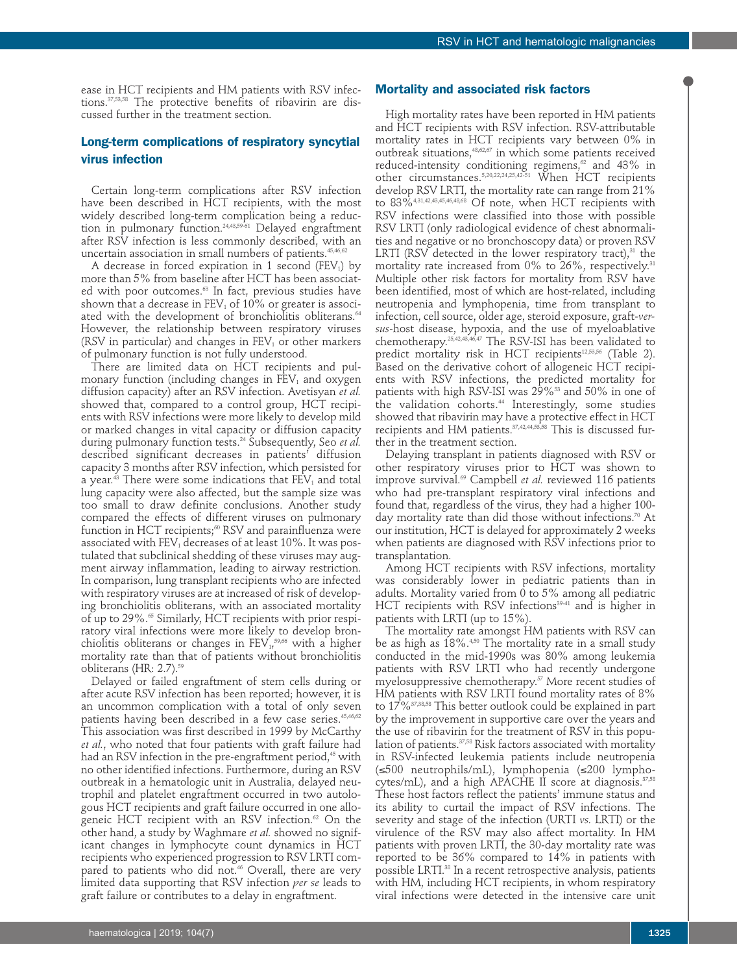ease in HCT recipients and HM patients with RSV infections.37,53,58 The protective benefits of ribavirin are discussed further in the treatment section.

# **Long-term complications of respiratory syncytial virus infection**

Certain long-term complications after RSV infection have been described in HCT recipients, with the most widely described long-term complication being a reduction in pulmonary function.<sup>24,43,59-61</sup> Delayed engraftment after RSV infection is less commonly described, with an uncertain association in small numbers of patients.45,46,62

A decrease in forced expiration in 1 second ( $FEV<sub>1</sub>$ ) by more than 5% from baseline after HCT has been associated with poor outcomes.<sup>63</sup> In fact, previous studies have shown that a decrease in  $FEV_1$  of  $10\%$  or greater is associated with the development of bronchiolitis obliterans.<sup>64</sup> However, the relationship between respiratory viruses (RSV in particular) and changes in  $FEV<sub>1</sub>$  or other markers of pulmonary function is not fully understood.

There are limited data on HCT recipients and pulmonary function (including changes in  $FEV_1$  and oxygen diffusion capacity) after an RSV infection. Avetisyan *et al.* showed that, compared to a control group, HCT recipients with RSV infections were more likely to develop mild or marked changes in vital capacity or diffusion capacity during pulmonary function tests.24 Subsequently, Seo *et al.* described significant decreases in patients' diffusion capacity 3 months after RSV infection, which persisted for a year.<sup>43</sup> There were some indications that  $FEV<sub>1</sub>$  and total lung capacity were also affected, but the sample size was too small to draw definite conclusions. Another study compared the effects of different viruses on pulmonary function in HCT recipients;<sup>60</sup> RSV and parainfluenza were associated with  $FEV<sub>1</sub>$  decreases of at least 10%. It was postulated that subclinical shedding of these viruses may augment airway inflammation, leading to airway restriction. In comparison, lung transplant recipients who are infected with respiratory viruses are at increased of risk of developing bronchiolitis obliterans, with an associated mortality of up to 29%.<sup>65</sup> Similarly, HCT recipients with prior respiratory viral infections were more likely to develop bronchiolitis obliterans or changes in  $\text{FEV}_1, ^{59,66}$  with a higher mortality rate than that of patients without bronchiolitis obliterans (HR:  $2.7$ ).<sup>5</sup>

Delayed or failed engraftment of stem cells during or after acute RSV infection has been reported; however, it is an uncommon complication with a total of only seven patients having been described in a few case series.<sup>45,46,62</sup> This association was first described in 1999 by McCarthy *et al.*, who noted that four patients with graft failure had had an RSV infection in the pre-engraftment period,<sup>45</sup> with no other identified infections. Furthermore, during an RSV outbreak in a hematologic unit in Australia, delayed neutrophil and platelet engraftment occurred in two autologous HCT recipients and graft failure occurred in one allogeneic HCT recipient with an RSV infection.<sup>62</sup> On the other hand, a study by Waghmare *et al.* showed no significant changes in lymphocyte count dynamics in HCT recipients who experienced progression to RSV LRTI compared to patients who did not.<sup>46</sup> Overall, there are very limited data supporting that RSV infection *per se* leads to graft failure or contributes to a delay in engraftment.

#### **Mortality and associated risk factors**

High mortality rates have been reported in HM patients and HCT recipients with RSV infection. RSV-attributable mortality rates in HCT recipients vary between 0% in outbreak situations,48,62,67 in which some patients received reduced-intensity conditioning regimens, $62$  and  $43\%$  in other circumstances.5,20,22,24,25,42-51 When HCT recipients develop RSV LRTI, the mortality rate can range from 21% to 83%4,31,42,43,45,46,48,68 Of note, when HCT recipients with RSV infections were classified into those with possible RSV LRTI (only radiological evidence of chest abnormalities and negative or no bronchoscopy data) or proven RSV LRTI (RSV detected in the lower respiratory tract), $31$  the mortality rate increased from 0% to 26%, respectively.<sup>31</sup> Multiple other risk factors for mortality from RSV have been identified, most of which are host-related, including neutropenia and lymphopenia, time from transplant to infection, cell source, older age, steroid exposure, graft-*versus*-host disease, hypoxia, and the use of myeloablative chemotherapy.25,42,43,46,47 The RSV-ISI has been validated to predict mortality risk in HCT recipients<sup>12,53,56</sup> (Table 2). Based on the derivative cohort of allogeneic HCT recipients with RSV infections, the predicted mortality for patients with high RSV-ISI was 29%<sup>53</sup> and 50% in one of the validation cohorts.<sup>44</sup> Interestingly, some studies showed that ribavirin may have a protective effect in HCT recipients and HM patients.37,42,44,53,58 This is discussed further in the treatment section.

Delaying transplant in patients diagnosed with RSV or other respiratory viruses prior to HCT was shown to improve survival.<sup>69</sup> Campbell *et al.* reviewed 116 patients who had pre-transplant respiratory viral infections and found that, regardless of the virus, they had a higher 100 day mortality rate than did those without infections.<sup>70</sup> At our institution, HCT is delayed for approximately 2 weeks when patients are diagnosed with RSV infections prior to transplantation.

Among HCT recipients with RSV infections, mortality was considerably lower in pediatric patients than in adults. Mortality varied from  $0$  to  $5\%$  among all pediatric HCT recipients with RSV infections<sup>39-41</sup> and is higher in patients with LRTI (up to 15%).

The mortality rate amongst HM patients with RSV can be as high as 18%.4,50 The mortality rate in a small study conducted in the mid-1990s was 80% among leukemia patients with RSV LRTI who had recently undergone myelosuppressive chemotherapy.<sup>57</sup> More recent studies of HM patients with RSV LRTI found mortality rates of 8% to  $17\%$ <sup>37,38,58</sup> This better outlook could be explained in part by the improvement in supportive care over the years and the use of ribavirin for the treatment of RSV in this population of patients.37,58 Risk factors associated with mortality in RSV-infected leukemia patients include neutropenia (≤500 neutrophils/mL), lymphopenia (≤200 lymphocytes/mL), and a high APACHE II score at diagnosis.<sup>37,58</sup> These host factors reflect the patients' immune status and its ability to curtail the impact of RSV infections. The severity and stage of the infection (URTI *vs.* LRTI) or the virulence of the RSV may also affect mortality. In HM patients with proven LRTI, the 30-day mortality rate was reported to be 36% compared to 14% in patients with possible LRTI.38 In a recent retrospective analysis, patients with HM, including HCT recipients, in whom respiratory viral infections were detected in the intensive care unit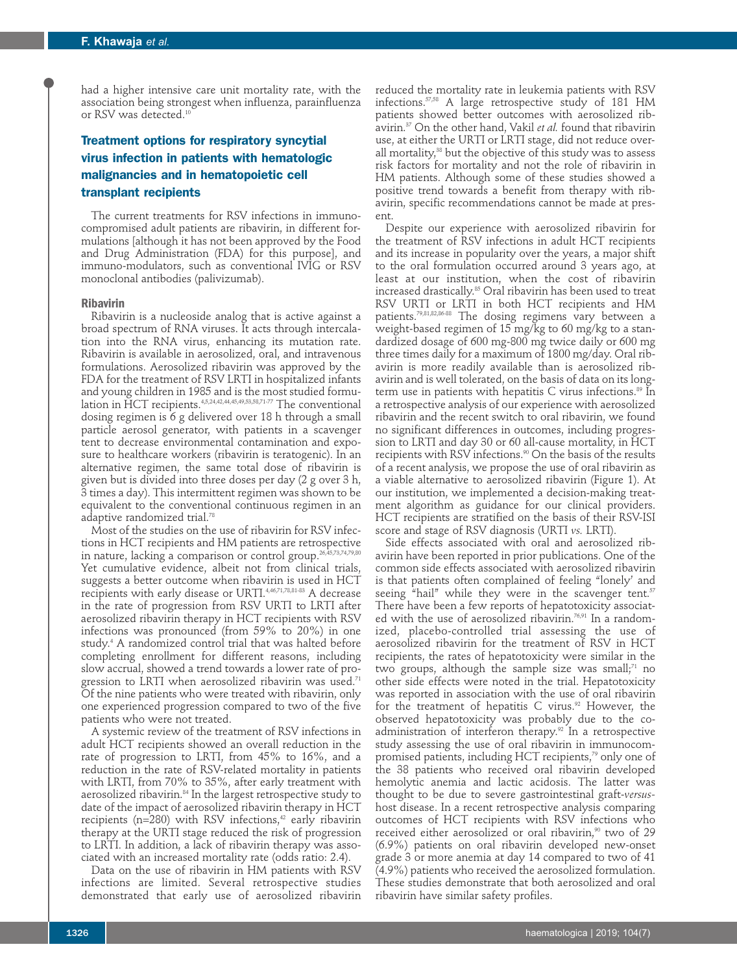had a higher intensive care unit mortality rate, with the association being strongest when influenza, parainfluenza or RSV was detected.<sup>10</sup>

# **Treatment options for respiratory syncytial virus infection in patients with hematologic malignancies and in hematopoietic cell transplant recipients**

The current treatments for RSV infections in immunocompromised adult patients are ribavirin, in different formulations [although it has not been approved by the Food and Drug Administration (FDA) for this purpose], and immuno-modulators, such as conventional IVIG or RSV monoclonal antibodies (palivizumab).

#### **Ribavirin**

Ribavirin is a nucleoside analog that is active against a broad spectrum of RNA viruses. It acts through intercalation into the RNA virus, enhancing its mutation rate. Ribavirin is available in aerosolized, oral, and intravenous formulations. Aerosolized ribavirin was approved by the FDA for the treatment of RSV LRTI in hospitalized infants and young children in 1985 and is the most studied formulation in HCT recipients.4,5,24,42,44,45,49,53,58,71-77 The conventional dosing regimen is 6 g delivered over 18 h through a small particle aerosol generator, with patients in a scavenger tent to decrease environmental contamination and exposure to healthcare workers (ribavirin is teratogenic). In an alternative regimen, the same total dose of ribavirin is given but is divided into three doses per day (2 g over 3 h, 3 times a day). This intermittent regimen was shown to be equivalent to the conventional continuous regimen in an adaptive randomized trial.78

Most of the studies on the use of ribavirin for RSV infections in HCT recipients and HM patients are retrospective in nature, lacking a comparison or control group.26,45,73,74,79,80 Yet cumulative evidence, albeit not from clinical trials, suggests a better outcome when ribavirin is used in HCT recipients with early disease or URTI.4,46,71,78,81-83 A decrease in the rate of progression from RSV URTI to LRTI after aerosolized ribavirin therapy in HCT recipients with RSV infections was pronounced (from 59% to 20%) in one study.<sup>4</sup> A randomized control trial that was halted before completing enrollment for different reasons, including slow accrual, showed a trend towards a lower rate of progression to LRTI when aerosolized ribavirin was used.<sup>71</sup> Of the nine patients who were treated with ribavirin, only one experienced progression compared to two of the five patients who were not treated.

A systemic review of the treatment of RSV infections in adult HCT recipients showed an overall reduction in the rate of progression to LRTI, from 45% to 16%, and a reduction in the rate of RSV-related mortality in patients with LRTI, from 70% to 35%, after early treatment with aerosolized ribavirin.<sup>84</sup> In the largest retrospective study to date of the impact of aerosolized ribavirin therapy in HCT recipients ( $n=280$ ) with RSV infections,<sup>42</sup> early ribavirin therapy at the URTI stage reduced the risk of progression to LRTI. In addition, a lack of ribavirin therapy was associated with an increased mortality rate (odds ratio: 2.4).

Data on the use of ribavirin in HM patients with RSV infections are limited. Several retrospective studies demonstrated that early use of aerosolized ribavirin

reduced the mortality rate in leukemia patients with RSV infections.57,58 A large retrospective study of 181 HM patients showed better outcomes with aerosolized ribavirin.37 On the other hand, Vakil *et al.* found that ribavirin use, at either the URTI or LRTI stage, did not reduce overall mortality,<sup>38</sup> but the objective of this study was to assess risk factors for mortality and not the role of ribavirin in HM patients. Although some of these studies showed a positive trend towards a benefit from therapy with ribavirin, specific recommendations cannot be made at present.

Despite our experience with aerosolized ribavirin for the treatment of RSV infections in adult HCT recipients and its increase in popularity over the years, a major shift to the oral formulation occurred around 3 years ago, at least at our institution, when the cost of ribavirin increased drastically.<sup>85</sup> Oral ribavirin has been used to treat RSV URTI or LRTI in both HCT recipients and HM patients.79,81,82,86-88 The dosing regimens vary between a weight-based regimen of 15 mg/kg to 60 mg/kg to a standardized dosage of 600 mg-800 mg twice daily or 600 mg three times daily for a maximum of 1800 mg/day. Oral ribavirin is more readily available than is aerosolized ribavirin and is well tolerated, on the basis of data on its longterm use in patients with hepatitis C virus infections.<sup>89</sup> In a retrospective analysis of our experience with aerosolized ribavirin and the recent switch to oral ribavirin, we found no significant differences in outcomes, including progression to LRTI and day 30 or 60 all-cause mortality, in HCT recipients with RSV infections.<sup>90</sup> On the basis of the results of a recent analysis, we propose the use of oral ribavirin as a viable alternative to aerosolized ribavirin (Figure 1). At our institution, we implemented a decision-making treatment algorithm as guidance for our clinical providers. HCT recipients are stratified on the basis of their RSV-ISI score and stage of RSV diagnosis (URTI *vs.* LRTI).

Side effects associated with oral and aerosolized ribavirin have been reported in prior publications. One of the common side effects associated with aerosolized ribavirin is that patients often complained of feeling "lonely' and seeing "hail" while they were in the scavenger tent. $57$ There have been a few reports of hepatotoxicity associated with the use of aerosolized ribavirin.<sup>76,91</sup> In a randomized, placebo-controlled trial assessing the use of aerosolized ribavirin for the treatment of RSV in HCT recipients, the rates of hepatotoxicity were similar in the two groups, although the sample size was small;<sup>71</sup> no other side effects were noted in the trial. Hepatotoxicity was reported in association with the use of oral ribavirin for the treatment of hepatitis  $C$  virus.<sup>92</sup> However, the observed hepatotoxicity was probably due to the coadministration of interferon therapy.<sup>92</sup> In a retrospective study assessing the use of oral ribavirin in immunocompromised patients, including HCT recipients,<sup>79</sup> only one of the 38 patients who received oral ribavirin developed hemolytic anemia and lactic acidosis. The latter was thought to be due to severe gastrointestinal graft-*versus*host disease. In a recent retrospective analysis comparing outcomes of HCT recipients with RSV infections who received either aerosolized or oral ribavirin, $90$  two of 29 (6.9%) patients on oral ribavirin developed new-onset grade 3 or more anemia at day 14 compared to two of 41 (4.9%) patients who received the aerosolized formulation. These studies demonstrate that both aerosolized and oral ribavirin have similar safety profiles.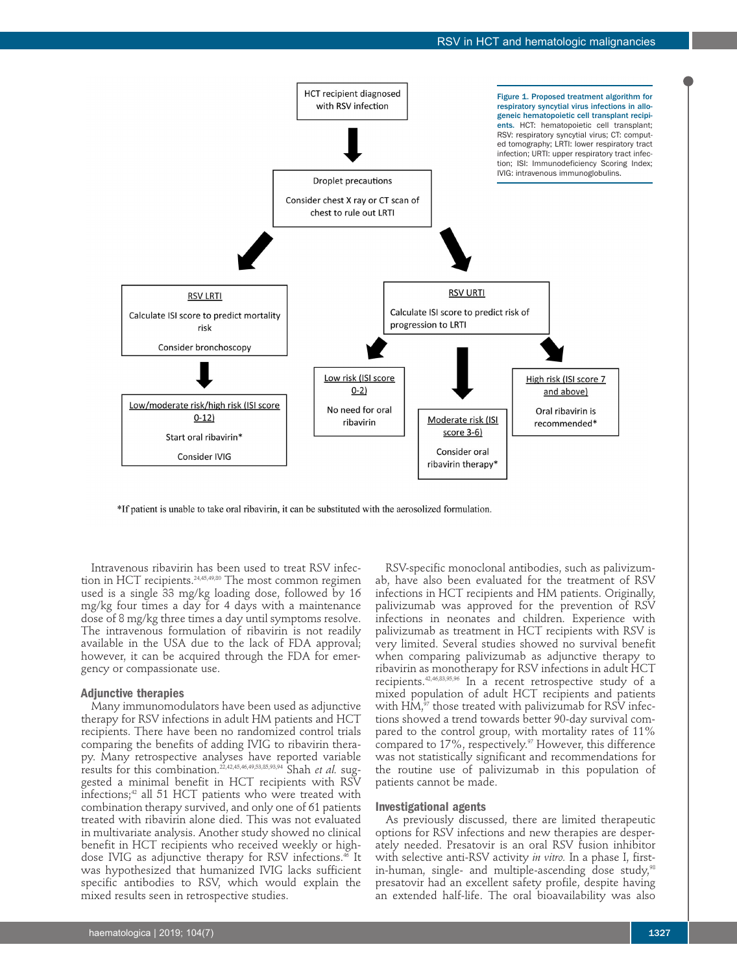

\*If patient is unable to take oral ribavirin, it can be substituted with the aerosolized formulation.

Intravenous ribavirin has been used to treat RSV infection in HCT recipients.24,45,49,80 The most common regimen used is a single 33 mg/kg loading dose, followed by 16 mg/kg four times a day for 4 days with a maintenance dose of 8 mg/kg three times a day until symptoms resolve. The intravenous formulation of ribavirin is not readily available in the USA due to the lack of FDA approval; however, it can be acquired through the FDA for emergency or compassionate use.

#### **Adjunctive therapies**

Many immunomodulators have been used as adjunctive therapy for RSV infections in adult HM patients and HCT recipients. There have been no randomized control trials comparing the benefits of adding IVIG to ribavirin therapy. Many retrospective analyses have reported variable results for this combination.22,42,45,46,49,53,85,93,94 Shah *et al.* suggested a minimal benefit in HCT recipients with RSV infections;42 all 51 HCT patients who were treated with combination therapy survived, and only one of 61 patients treated with ribavirin alone died. This was not evaluated in multivariate analysis. Another study showed no clinical benefit in HCT recipients who received weekly or highdose IVIG as adjunctive therapy for RSV infections.<sup>46</sup> It was hypothesized that humanized IVIG lacks sufficient specific antibodies to RSV, which would explain the mixed results seen in retrospective studies.

RSV-specific monoclonal antibodies, such as palivizumab, have also been evaluated for the treatment of RSV infections in HCT recipients and HM patients. Originally, palivizumab was approved for the prevention of RSV infections in neonates and children. Experience with palivizumab as treatment in HCT recipients with RSV is very limited. Several studies showed no survival benefit when comparing palivizumab as adjunctive therapy to ribavirin as monotherapy for RSV infections in adult HCT recipients.42,46,83,95,96 In a recent retrospective study of a mixed population of adult HCT recipients and patients with  $\text{H\textsf{M}}$ ,<sup>57</sup> those treated with palivizumab for RSV infections showed a trend towards better 90-day survival compared to the control group, with mortality rates of 11% compared to 17%, respectively.<sup>97</sup> However, this difference was not statistically significant and recommendations for the routine use of palivizumab in this population of patients cannot be made.

### **Investigational agents**

As previously discussed, there are limited therapeutic options for RSV infections and new therapies are desperately needed. Presatovir is an oral RSV fusion inhibitor with selective anti-RSV activity *in vitro.* In a phase I, firstin-human, single- and multiple-ascending dose study,<sup>98</sup> presatovir had an excellent safety profile, despite having an extended half-life. The oral bioavailability was also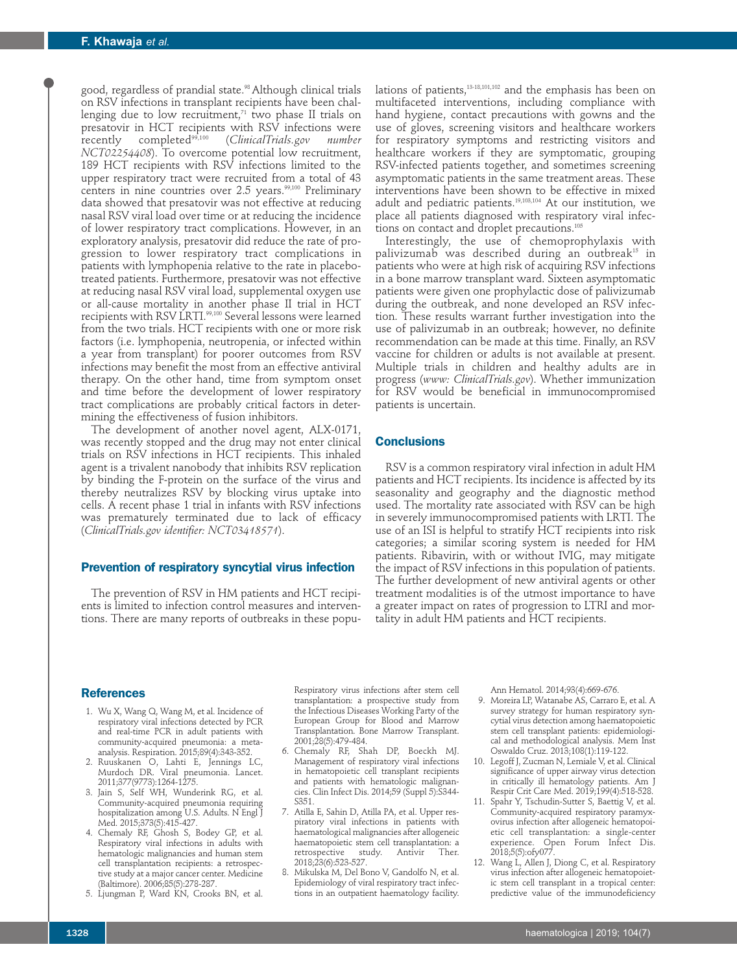good, regardless of prandial state.<sup>98</sup> Although clinical trials on RSV infections in transplant recipients have been challenging due to low recruitment, $71$  two phase II trials on presatovir in HCT recipients with RSV infections were<br>recently completed<sup>99,100</sup> (ClinicalTrials.gov number recently completed99,100 (*ClinicalTrials.gov number NCT02254408*). To overcome potential low recruitment, 189 HCT recipients with RSV infections limited to the upper respiratory tract were recruited from a total of 43 centers in nine countries over 2.5 years.<sup>99,100</sup> Preliminary data showed that presatovir was not effective at reducing nasal RSV viral load over time or at reducing the incidence of lower respiratory tract complications. However, in an exploratory analysis, presatovir did reduce the rate of progression to lower respiratory tract complications in patients with lymphopenia relative to the rate in placebotreated patients. Furthermore, presatovir was not effective at reducing nasal RSV viral load, supplemental oxygen use or all-cause mortality in another phase II trial in HCT recipients with RSV LRTI.<sup>99,100</sup> Several lessons were learned from the two trials. HCT recipients with one or more risk factors (i.e. lymphopenia, neutropenia, or infected within a year from transplant) for poorer outcomes from RSV infections may benefit the most from an effective antiviral therapy. On the other hand, time from symptom onset and time before the development of lower respiratory tract complications are probably critical factors in determining the effectiveness of fusion inhibitors.

The development of another novel agent, ALX-0171, was recently stopped and the drug may not enter clinical trials on RSV infections in HCT recipients. This inhaled agent is a trivalent nanobody that inhibits RSV replication by binding the F-protein on the surface of the virus and thereby neutralizes RSV by blocking virus uptake into cells. A recent phase 1 trial in infants with RSV infections was prematurely terminated due to lack of efficacy (*ClinicalTrials.gov identifier: NCT03418571*).

# **Prevention of respiratory syncytial virus infection**

The prevention of RSV in HM patients and HCT recipients is limited to infection control measures and interventions. There are many reports of outbreaks in these populations of patients,<sup>13-18,101,102</sup> and the emphasis has been on multifaceted interventions, including compliance with hand hygiene, contact precautions with gowns and the use of gloves, screening visitors and healthcare workers for respiratory symptoms and restricting visitors and healthcare workers if they are symptomatic, grouping RSV-infected patients together, and sometimes screening asymptomatic patients in the same treatment areas. These interventions have been shown to be effective in mixed adult and pediatric patients.19,103,104 At our institution, we place all patients diagnosed with respiratory viral infections on contact and droplet precautions.<sup>105</sup>

Interestingly, the use of chemoprophylaxis with palivizumab was described during an outbreak<sup>15</sup> in patients who were at high risk of acquiring RSV infections in a bone marrow transplant ward. Sixteen asymptomatic patients were given one prophylactic dose of palivizumab during the outbreak, and none developed an RSV infection. These results warrant further investigation into the use of palivizumab in an outbreak; however, no definite recommendation can be made at this time. Finally, an RSV vaccine for children or adults is not available at present. Multiple trials in children and healthy adults are in progress (*www: ClinicalTrials.gov*). Whether immunization for RSV would be beneficial in immunocompromised patients is uncertain.

### **Conclusions**

RSV is a common respiratory viral infection in adult HM patients and HCT recipients. Its incidence is affected by its seasonality and geography and the diagnostic method used. The mortality rate associated with RSV can be high in severely immunocompromised patients with LRTI. The use of an ISI is helpful to stratify HCT recipients into risk categories; a similar scoring system is needed for HM patients. Ribavirin, with or without IVIG, may mitigate the impact of RSV infections in this population of patients. The further development of new antiviral agents or other treatment modalities is of the utmost importance to have a greater impact on rates of progression to LTRI and mortality in adult HM patients and HCT recipients.

#### **References**

- 1. Wu X, Wang Q, Wang M, et al. Incidence of respiratory viral infections detected by PCR and real-time PCR in adult patients with community-acquired pneumonia: a metaanalysis. Respiration. 2015;89(4):343-352.
- 2. Ruuskanen O, Lahti E, Jennings LC, Murdoch DR. Viral pneumonia. Lancet. 2011;377(9773):1264-1275.
- 3. Jain S, Self WH, Wunderink RG, et al. Community-acquired pneumonia requiring hospitalization among U.S. Adults. N Engl J Med. 2015;373(5):415-427.
- 4. Chemaly RF, Ghosh S, Bodey GP, et al. Respiratory viral infections in adults with hematologic malignancies and human stem cell transplantation recipients: a retrospective study at a major cancer center. Medicine (Baltimore). 2006;85(5):278-287.
- 5. Ljungman P, Ward KN, Crooks BN, et al.

Respiratory virus infections after stem cell transplantation: a prospective study from the Infectious Diseases Working Party of the European Group for Blood and Marrow Transplantation. Bone Marrow Transplant. 2001;28(5):479-484.

- 6. Chemaly RF, Shah DP, Boeckh MJ. Management of respiratory viral infections in hematopoietic cell transplant recipients and patients with hematologic malignancies. Clin Infect Dis. 2014;59 (Suppl 5):S344- S351.
- 7. Atilla E, Sahin D, Atilla PA, et al. Upper respiratory viral infections in patients with haematological malignancies after allogeneic haematopoietic stem cell transplantation: a<br>retrospective study. Antivir Ther. retrospective study. Antivir Ther. 2018;23(6):523-527.
- 8. Mikulska M, Del Bono V, Gandolfo N, et al. Epidemiology of viral respiratory tract infections in an outpatient haematology facility.

Ann Hematol. 2014;93(4):669-676.

- 9. Moreira LP, Watanabe AS, Carraro E, et al. A survey strategy for human respiratory syncytial virus detection among haematopoietic stem cell transplant patients: epidemiological and methodological analysis. Mem Inst Oswaldo Cruz. 2013;108(1):119-122.
- 10. Legoff J, Zucman N, Lemiale V, et al. Clinical significance of upper airway virus detection in critically ill hematology patients. Am J Respir Crit Care Med. 2019;199(4):518-528.
- 11. Spahr Y, Tschudin-Sutter S, Baettig V, et al. Community-acquired respiratory paramyxovirus infection after allogeneic hematopoietic cell transplantation: a single-center experience. Open Forum Infect Dis. 2018;5(5):ofy077.
- 12. Wang L, Allen J, Diong C, et al. Respiratory virus infection after allogeneic hematopoietic stem cell transplant in a tropical center: predictive value of the immunodeficiency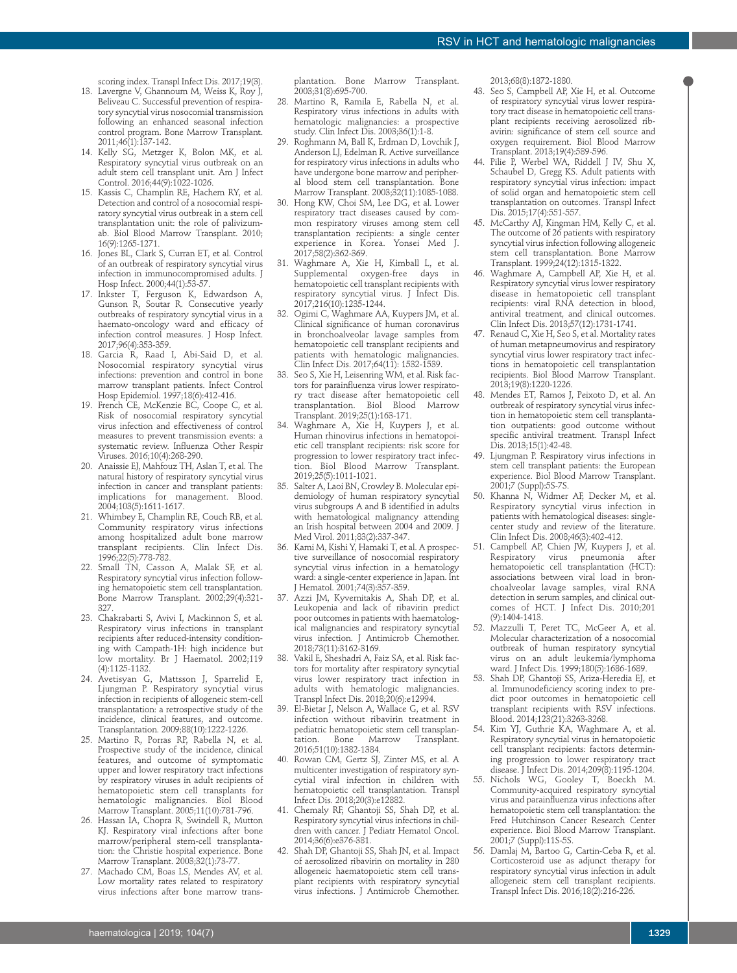scoring index. Transpl Infect Dis. 2017;19(3).

- 13. Lavergne V, Ghannoum M, Weiss K, Roy J, Beliveau C. Successful prevention of respiratory syncytial virus nosocomial transmission following an enhanced seasonal infection control program. Bone Marrow Transplant. 2011;46(1):137-142.
- 14. Kelly SG, Metzger K, Bolon MK, et al. Respiratory syncytial virus outbreak on an adult stem cell transplant unit. Am J Infect Control. 2016;44(9):1022-1026.
- 15. Kassis C, Champlin RE, Hachem RY, et al. Detection and control of a nosocomial respiratory syncytial virus outbreak in a stem cell transplantation unit: the role of palivizumab. Biol Blood Marrow Transplant. 2010; 16(9):1265-1271.
- 16. Jones BL, Clark S, Curran ET, et al. Control of an outbreak of respiratory syncytial virus infection in immunocompromised adults. J Hosp Infect. 2000;44(1):53-57.
- 17. Inkster T, Ferguson K, Edwardson A, Gunson R, Soutar R. Consecutive yearly outbreaks of respiratory syncytial virus in a haemato-oncology ward and efficacy of infection control measures. J Hosp Infect. 2017;96(4):353-359.
- 18. Garcia R, Raad I, Abi-Said D, et al. Nosocomial respiratory syncytial virus infections: prevention and control in bone marrow transplant patients. Infect Control Hosp Epidemiol. 1997;18(6):412-416.
- 19. French CE, McKenzie BC, Coope C, et al. Risk of nosocomial respiratory syncytial virus infection and effectiveness of control measures to prevent transmission events: a systematic review. Influenza Other Respir Viruses. 2016;10(4):268-290.
- 20. Anaissie EJ, Mahfouz TH, Aslan T, et al. The natural history of respiratory syncytial virus infection in cancer and transplant patients: implications for management. Blood. 2004;103(5):1611-1617.
- 21. Whimbey E, Champlin RE, Couch RB, et al. Community respiratory virus infections among hospitalized adult bone marrow transplant recipients. Clin Infect Dis. 1996;22(5):778-782.
- 22. Small TN, Casson A, Malak SF, et al. Respiratory syncytial virus infection following hematopoietic stem cell transplantation. Bone Marrow Transplant. 2002;29(4):321- 327.
- 23. Chakrabarti S, Avivi I, Mackinnon S, et al. Respiratory virus infections in transplant recipients after reduced-intensity conditioning with Campath-1H: high incidence but low mortality. Br J Haematol. 2002;119 (4):1125-1132.
- 24. Avetisyan G, Mattsson J, Sparrelid E, Ljungman P. Respiratory syncytial virus infection in recipients of allogeneic stem-cell transplantation: a retrospective study of the incidence, clinical features, and outcome. Transplantation. 2009;88(10):1222-1226.
- 25. Martino R, Porras RP, Rabella N, et al. Prospective study of the incidence, clinical features, and outcome of symptomatic upper and lower respiratory tract infections by respiratory viruses in adult recipients of hematopoietic stem cell transplants for hematologic malignancies. Biol Blood Marrow Transplant. 2005;11(10):781-796.
- 26. Hassan IA, Chopra R, Swindell R, Mutton KJ. Respiratory viral infections after bone marrow/peripheral stem-cell transplantation: the Christie hospital experience. Bone Marrow Transplant. 2003;32(1):73-77.
- 27. Machado CM, Boas LS, Mendes AV, et al. Low mortality rates related to respiratory virus infections after bone marrow trans-

plantation. Bone Marrow Transplant. 2003;31(8):695-700.

- 28. Martino R, Ramila E, Rabella N, et al. Respiratory virus infections in adults with hematologic malignancies: a prospective study. Clin Infect Dis. 2003;36(1):1-8.
- 29. Roghmann M, Ball K, Erdman D, Lovchik J, Anderson LJ, Edelman R. Active surveillance for respiratory virus infections in adults who have undergone bone marrow and peripheral blood stem cell transplantation. Bone Marrow Transplant. 2003;32(11):1085-1088.
- 30. Hong KW, Choi SM, Lee DG, et al. Lower respiratory tract diseases caused by common respiratory viruses among stem cell transplantation recipients: a single center experience in Korea. Yonsei Med J. 2017;58(2):362-369.
- 31. Waghmare A, Xie H, Kimball L, et al. Supplemental oxygen-free days in hematopoietic cell transplant recipients with respiratory syncytial virus. J Infect Dis. 2017;216(10):1235-1244.
- 32. Ogimi C, Waghmare AA, Kuypers JM, et al. Clinical significance of human coronavirus in bronchoalveolar lavage samples from hematopoietic cell transplant recipients and patients with hematologic malignancies. Clin Infect Dis. 2017;64(11): 1532-1539.
- 33. Seo S, Xie H, Leisenring WM, et al. Risk factors for parainfluenza virus lower respiratory tract disease after hematopoietic cell transplantation. Biol Blood Marrow Transplant. 2019;25(1):163-171.
- 34. Waghmare A, Xie H, Kuypers J, et al. Human rhinovirus infections in hematopoietic cell transplant recipients: risk score for progression to lower respiratory tract infection. Biol Blood Marrow Transplant. 2019;25(5):1011-1021.
- Salter A, Laoi BN, Crowley B. Molecular epidemiology of human respiratory syncytial virus subgroups A and B identified in adults with hematological malignancy attending an Irish hospital between 2004 and 2009. J Med Virol. 2011;83(2):337-347.
- 36. Kami M, Kishi Y, Hamaki T, et al. A prospective surveillance of nosocomial respiratory syncytial virus infection in a hematology ward: a single-center experience in Japan. Int J Hematol. 2001;74(3):357-359.
- 37. Azzi JM, Kyvernitakis A, Shah DP, et al. Leukopenia and lack of ribavirin predict poor outcomes in patients with haematological malignancies and respiratory syncytial virus infection. J Antimicrob Chemother. 2018;73(11):3162-3169.
- Vakil E, Sheshadri A, Faiz SA, et al. Risk factors for mortality after respiratory syncytial virus lower respiratory tract infection in adults with hematologic malignancies. Transpl Infect Dis. 2018;20(6):e12994.
- 39. El-Bietar J, Nelson A, Wallace G, et al. RSV infection without ribavirin treatment in pediatric hematopoietic stem cell transplan-<br>tation. Bone Marrow Transplant. tation. Bone Marrow Transplant. 2016;51(10):1382-1384.
- Rowan CM, Gertz SJ, Zinter MS, et al. A multicenter investigation of respiratory syncytial viral infection in children with hematopoietic cell transplantation. Transpl Infect Dis. 2018;20(3):e12882.
- 41. Chemaly RF, Ghantoji SS, Shah DP, et al. Respiratory syncytial virus infections in children with cancer. J Pediatr Hematol Oncol. 2014;36(6):e376-381.
- 42. Shah DP, Ghantoji SS, Shah JN, et al. Impact of aerosolized ribavirin on mortality in 280 allogeneic haematopoietic stem cell transplant recipients with respiratory syncytial virus infections. J Antimicrob Chemother.

2013;68(8):1872-1880.

- 43. Seo S, Campbell AP, Xie H, et al. Outcome of respiratory syncytial virus lower respiratory tract disease in hematopoietic cell transplant recipients receiving aerosolized ribavirin: significance of stem cell source and oxygen requirement. Biol Blood Marrow Transplant. 2013;19(4):589-596.
- 44. Pilie P, Werbel WA, Riddell J IV, Shu X, Schaubel D, Gregg KS. Adult patients with respiratory syncytial virus infection: impact of solid organ and hematopoietic stem cell transplantation on outcomes. Transpl Infect Dis. 2015;17(4):551-557.
- 45. McCarthy AJ, Kingman HM, Kelly C, et al. The outcome of 26 patients with respiratory syncytial virus infection following allogeneic stem cell transplantation. Bone Marrow Transplant. 1999;24(12):1315-1322.
- 46. Waghmare A, Campbell AP, Xie H, et al. Respiratory syncytial virus lower respiratory disease in hematopoietic cell transplant recipients: viral RNA detection in blood, antiviral treatment, and clinical outcomes. Clin Infect Dis. 2013;57(12):1731-1741.
- Renaud C, Xie H, Seo S, et al. Mortality rates of human metapneumovirus and respiratory syncytial virus lower respiratory tract infections in hematopoietic cell transplantation recipients. Biol Blood Marrow Transplant. 2013;19(8):1220-1226.
- 48. Mendes ET, Ramos J, Peixoto D, et al. An outbreak of respiratory syncytial virus infection in hematopoietic stem cell transplantation outpatients: good outcome without specific antiviral treatment. Transpl Infect Dis. 2013;15(1):42-48.
- 49. Ljungman P. Respiratory virus infections in stem cell transplant patients: the European experience. Biol Blood Marrow Transplant. 2001;7 (Suppl):5S-7S.
- 50. Khanna N, Widmer AF, Decker M, et al. Respiratory syncytial virus infection in patients with hematological diseases: singlecenter study and review of the literature. Clin Infect Dis. 2008;46(3):402-412.
- 51. Campbell AP, Chien JW, Kuypers J, et al.<br>Respiratory virus pneumonia after virus pneumonia hematopoietic cell transplantation (HCT): associations between viral load in bronchoalveolar lavage samples, viral RNA detection in serum samples, and clinical outcomes of HCT. J Infect Dis. 2010;201 (9):1404-1413.
- 52. Mazzulli T, Peret TC, McGeer A, et al. Molecular characterization of a nosocomial outbreak of human respiratory syncytial virus on an adult leukemia/lymphoma ward. J Infect Dis. 1999;180(5):1686-1689.
- 53. Shah DP, Ghantoji SS, Ariza-Heredia EJ, et al. Immunodeficiency scoring index to predict poor outcomes in hematopoietic cell transplant recipients with RSV infections. Blood. 2014;123(21):3263-3268.
- 54. Kim YJ, Guthrie KA, Waghmare A, et al. Respiratory syncytial virus in hematopoietic cell transplant recipients: factors determining progression to lower respiratory tract disease. J Infect Dis. 2014;209(8):1195-1204.
- 55. Nichols WG, Gooley T, Boeckh M. Community-acquired respiratory syncytial virus and parainfluenza virus infections after hematopoietic stem cell transplantation: the Fred Hutchinson Cancer Research Center experience. Biol Blood Marrow Transplant. 2001;7 (Suppl):11S-5S.
- 56. Damlaj M, Bartoo G, Cartin-Ceba R, et al. Corticosteroid use as adjunct therapy for respiratory syncytial virus infection in adult allogeneic stem cell transplant recipients. Transpl Infect Dis. 2016;18(2):216-226.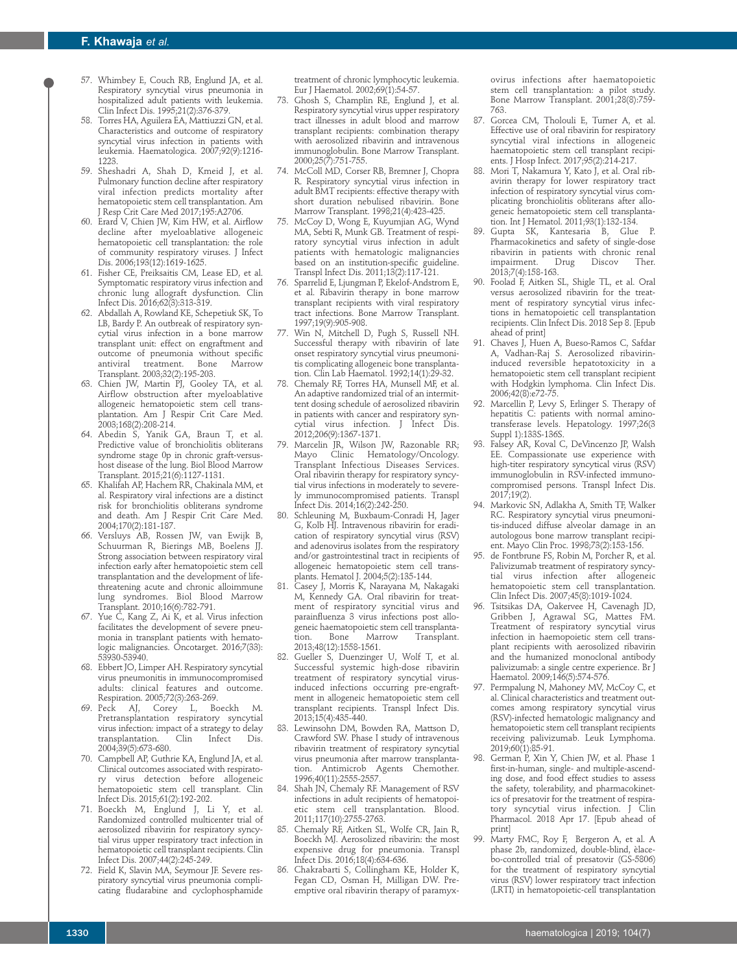- 57. Whimbey E, Couch RB, Englund JA, et al. Respiratory syncytial virus pneumonia in hospitalized adult patients with leukemia. Clin Infect Dis. 1995;21(2):376-379.
- 58. Torres HA, Aguilera EA, Mattiuzzi GN, et al. Characteristics and outcome of respiratory syncytial virus infection in patients with leukemia. Haematologica. 2007;92(9):1216- 1223.
- 59. Sheshadri A, Shah D, Kmeid J, et al. Pulmonary function decline after respiratory viral infection predicts mortality after hematopoietic stem cell transplantation. Am J Resp Crit Care Med 2017;195:A2706.
- 60. Erard V, Chien JW, Kim HW, et al. Airflow decline after myeloablative allogeneic hematopoietic cell transplantation: the role of community respiratory viruses. J Infect Dis. 2006;193(12):1619-1625.
- 61. Fisher CE, Preiksaitis CM, Lease ED, et al. Symptomatic respiratory virus infection and chronic lung allograft dysfunction. Clin Infect Dis. 2016;62(3):313-319.
- 62. Abdallah A, Rowland KE, Schepetiuk SK, To LB, Bardy P. An outbreak of respiratory syncytial virus infection in a bone marrow transplant unit: effect on engraftment and outcome of pneumonia without specific<br>antiviral treatment. Bone Marrow antiviral treatment. Bone Transplant. 2003;32(2):195-203.
- 63. Chien JW, Martin PJ, Gooley TA, et al. Airflow obstruction after myeloablative allogeneic hematopoietic stem cell transplantation. Am J Respir Crit Care Med. 2003;168(2):208-214.
- 64. Abedin S, Yanik GA, Braun T, et al. Predictive value of bronchiolitis obliterans syndrome stage 0p in chronic graft-versushost disease of the lung. Biol Blood Marrow Transplant. 2015;21(6):1127-1131.
- 65. Khalifah AP, Hachem RR, Chakinala MM, et al. Respiratory viral infections are a distinct risk for bronchiolitis obliterans syndrome and death. Am J Respir Crit Care Med. 2004;170(2):181-187.
- 66. Versluys AB, Rossen JW, van Ewijk B, Schuurman R, Bierings MB, Boelens JJ. Strong association between respiratory viral infection early after hematopoietic stem cell transplantation and the development of lifethreatening acute and chronic alloimmune lung syndromes. Biol Blood Marrow Transplant. 2010;16(6):782-791.
- 67. Yue C, Kang Z, Ai K, et al. Virus infection facilitates the development of severe pneumonia in transplant patients with hematologic malignancies. Oncotarget. 2016;7(33): 53930-53940.
- 68. Ebbert JO, Limper AH. Respiratory syncytial virus pneumonitis in immunocompromised adults: clinical features and outcome. Respiration. 2005;72(3):263-269.<br>Peck AI. Corev L. Bo
- 69. Peck AJ, Corey L, Boeckh M. Pretransplantation respiratory syncytial virus infection: impact of a strategy to delay<br>transplantation. Clin Infect Dis. transplantation. Clin Infect Dis. 2004;39(5):673-680.
- 70. Campbell AP, Guthrie KA, Englund JA, et al. Clinical outcomes associated with respiratory virus detection before allogeneic hematopoietic stem cell transplant. Clin Infect Dis. 2015;61(2):192-202.
- 71. Boeckh M, Englund J, Li Y, et al. Randomized controlled multicenter trial of aerosolized ribavirin for respiratory syncytial virus upper respiratory tract infection in hematopoietic cell transplant recipients. Clin Infect Dis. 2007;44(2):245-249.
- 72. Field K, Slavin MA, Seymour JF. Severe respiratory syncytial virus pneumonia complicating fludarabine and cyclophosphamide

treatment of chronic lymphocytic leukemia. Eur J Haematol. 2002;69(1):54-57.

- 73. Ghosh S, Champlin RE, Englund J, et al. Respiratory syncytial virus upper respiratory tract illnesses in adult blood and marrow transplant recipients: combination therapy with aerosolized ribavirin and intravenous immunoglobulin. Bone Marrow Transplant. 2000;25(7):751-755.
- 74. McColl MD, Corser RB, Bremner J, Chopra R. Respiratory syncytial virus infection in adult BMT recipients: effective therapy with short duration nebulised ribavirin. Bone Marrow Transplant. 1998;21(4):423-425.
- 75. McCoy D, Wong E, Kuyumjian AG, Wynd MA, Sebti R, Munk GB. Treatment of respiratory syncytial virus infection in adult patients with hematologic malignancies based on an institution-specific guideline. Transpl Infect Dis. 2011;13(2):117-121.
- 76. Sparrelid E, Ljungman P, Ekelof-Andstrom E, et al. Ribavirin therapy in bone marrow transplant recipients with viral respiratory tract infections. Bone Marrow Transplant. 1997;19(9):905-908.
- Win N, Mitchell D, Pugh S, Russell NH. Successful therapy with ribavirin of late onset respiratory syncytial virus pneumonitis complicating allogeneic bone transplantation. Clin Lab Haematol. 1992;14(1):29-32.
- 78. Chemaly RF, Torres HA, Munsell MF, et al. An adaptive randomized trial of an intermittent dosing schedule of aerosolized ribavirin in patients with cancer and respiratory syncytial virus infection. J Infect Dis. 2012;206(9):1367-1371.
- 79. Marcelin JR, Wilson JW, Razonable RR; Mayo Clinic Hematology/Oncology. Transplant Infectious Diseases Services. Oral ribavirin therapy for respiratory syncytial virus infections in moderately to severely immunocompromised patients. Transpl Infect Dis. 2014;16(2):242-250.
- Schleuning M, Buxbaum-Conradi H, Jager G, Kolb HJ. Intravenous ribavirin for eradication of respiratory syncytial virus (RSV) and adenovirus isolates from the respiratory and/or gastrointestinal tract in recipients of allogeneic hematopoietic stem cell transplants. Hematol J. 2004;5(2):135-144.
- 81. Casey J, Morris K, Narayana M, Nakagaki M, Kennedy GA. Oral ribavirin for treatment of respiratory syncitial virus and parainfluenza 3 virus infections post allogeneic haematopoietic stem cell transplanta-<br>tion. Bone Marrow Transplant. tion. Bone Marrow Transplant. 2013;48(12):1558-1561.
- 82. Gueller S, Duenzinger U, Wolf T, et al. Successful systemic high-dose ribavirin treatment of respiratory syncytial virusinduced infections occurring pre-engraftment in allogeneic hematopoietic stem cell transplant recipients. Transpl Infect Dis. 2013;15(4):435-440.
- 83. Lewinsohn DM, Bowden RA, Mattson D, Crawford SW. Phase I study of intravenous ribavirin treatment of respiratory syncytial virus pneumonia after marrow transplantation. Antimicrob Agents Chemother. 1996;40(11):2555-2557.
- 84. Shah JN, Chemaly RF. Management of RSV infections in adult recipients of hematopoietic stem cell transplantation. Blood. 2011;117(10):2755-2763.
- 85. Chemaly RF, Aitken SL, Wolfe CR, Jain R, Boeckh MJ. Aerosolized ribavirin: the most expensive drug for pneumonia. Transpl Infect Dis. 2016;18(4):634-636.
- 86. Chakrabarti S, Collingham KE, Holder K, Fegan CD, Osman H, Milligan DW. Preemptive oral ribavirin therapy of paramyx-

ovirus infections after haematopoietic stem cell transplantation: a pilot study. Bone Marrow Transplant. 2001;28(8):759- 763.

- 87. Gorcea CM, Tholouli E, Turner A, et al. Effective use of oral ribavirin for respiratory syncytial viral infections in allogeneic haematopoietic stem cell transplant recipients. J Hosp Infect. 2017;95(2):214-217.
- 88. Mori T, Nakamura Y, Kato J, et al. Oral ribavirin therapy for lower respiratory tract infection of respiratory syncytial virus complicating bronchiolitis obliterans after allogeneic hematopoietic stem cell transplantation. Int J Hematol. 2011;93(1):132-134.
- 89. Gupta SK, Kantesaria B, Glue P. Pharmacokinetics and safety of single-dose ribavirin in patients with chronic renal<br>impairment. Drug Discov Ther. impairment. 2013;7(4):158-163.
- Foolad F, Aitken SL, Shigle TL, et al. Oral versus aerosolized ribavirin for the treatment of respiratory syncytial virus infections in hematopoietic cell transplantation recipients. Clin Infect Dis. 2018 Sep 8. [Epub ahead of print]
- 91. Chaves J, Huen A, Bueso-Ramos C, Safdar A, Vadhan-Raj S. Aerosolized ribavirininduced reversible hepatotoxicity in a hematopoietic stem cell transplant recipient with Hodgkin lymphoma. Clin Infect Dis. 2006;42(8):e72-75.
- 92. Marcellin P, Levy S, Erlinger S. Therapy of hepatitis C: patients with normal aminotransferase levels. Hepatology. 1997;26(3 Suppl 1):133S-136S.
- 93. Falsey AR, Koval C, DeVincenzo JP, Walsh EE. Compassionate use experience with high-titer respiratory syncytical virus (RSV) immunoglobulin in RSV-infected immunocompromised persons. Transpl Infect Dis. 2017;19(2).
- 94. Markovic SN, Adlakha A, Smith TF, Walker RC. Respiratory syncytial virus pneumonitis-induced diffuse alveolar damage in an autologous bone marrow transplant recipient. Mayo Clin Proc. 1998;73(2):153-156.
- 95. de Fontbrune FS, Robin M, Porcher R, et al. Palivizumab treatment of respiratory syncytial virus infection after allogeneic hematopoietic stem cell transplantation. Clin Infect Dis. 2007;45(8):1019-1024.
- 96. Tsitsikas DA, Oakervee H, Cavenagh JD, Gribben J, Agrawal SG, Mattes FM. Treatment of respiratory syncytial virus infection in haemopoietic stem cell transplant recipients with aerosolized ribavirin and the humanized monoclonal antibody palivizumab: a single centre experience. Br J Haematol. 2009;146(5):574-576.
- Permpalung N, Mahoney MV, McCoy C, et al. Clinical characteristics and treatment outcomes among respiratory syncytial virus (RSV)-infected hematologic malignancy and hematopoietic stem cell transplant recipients receiving palivizumab. Leuk Lymphoma. 2019;60(1):85-91.
- 98. German P, Xin Y, Chien JW, et al. Phase 1 first-in-human, single- and multiple-ascending dose, and food effect studies to assess the safety, tolerability, and pharmacokinetics of presatovir for the treatment of respiratory syncytial virus infection. J Clin Pharmacol. 2018 Apr 17. [Epub ahead of print]
- 99. Marty FMC, Roy F, Bergeron A, et al. A phase 2b, randomized, double-blind, èlacebo-controlled trial of presatovir (GS-5806) for the treatment of respiratory syncytial virus (RSV) lower respiratory tract infection (LRTI) in hematopoietic-cell transplantation